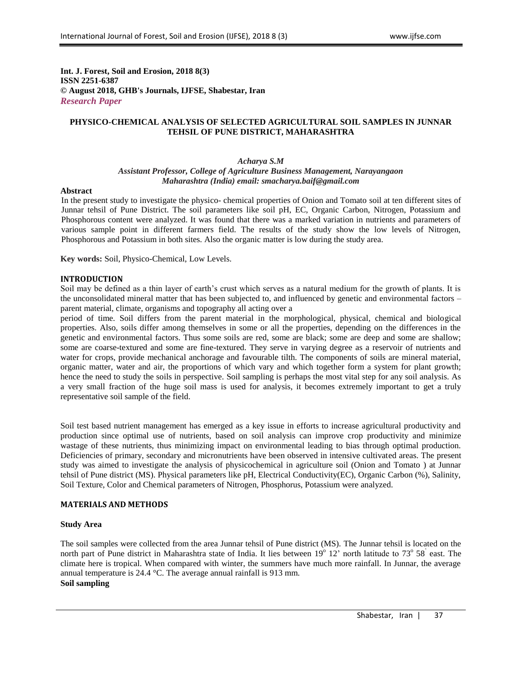**Int. J. Forest, Soil and Erosion, 2018 8(3) ISSN 2251-6387 © August 2018, GHB's Journals, IJFSE, Shabestar, Iran** *Research Paper*

## **PHYSICO-CHEMICAL ANALYSIS OF SELECTED AGRICULTURAL SOIL SAMPLES IN JUNNAR TEHSIL OF PUNE DISTRICT, MAHARASHTRA**

#### *Acharya S.M Assistant Professor, College of Agriculture Business Management, Narayangaon Maharashtra (India) email: smacharya.baif@gmail.com*

#### **Abstract**

In the present study to investigate the physico- chemical properties of Onion and Tomato soil at ten different sites of Junnar tehsil of Pune District. The soil parameters like soil pH, EC, Organic Carbon, Nitrogen, Potassium and Phosphorous content were analyzed. It was found that there was a marked variation in nutrients and parameters of various sample point in different farmers field. The results of the study show the low levels of Nitrogen, Phosphorous and Potassium in both sites. Also the organic matter is low during the study area.

**Key words:** Soil, Physico-Chemical, Low Levels.

### **INTRODUCTION**

Soil may be defined as a thin layer of earth's crust which serves as a natural medium for the growth of plants. It is the unconsolidated mineral matter that has been subjected to, and influenced by genetic and environmental factors – parent material, climate, organisms and topography all acting over a

period of time. Soil differs from the parent material in the morphological, physical, chemical and biological properties. Also, soils differ among themselves in some or all the properties, depending on the differences in the genetic and environmental factors. Thus some soils are red, some are black; some are deep and some are shallow; some are coarse-textured and some are fine-textured. They serve in varying degree as a reservoir of nutrients and water for crops, provide mechanical anchorage and favourable tilth. The components of soils are mineral material, organic matter, water and air, the proportions of which vary and which together form a system for plant growth; hence the need to study the soils in perspective. Soil sampling is perhaps the most vital step for any soil analysis. As a very small fraction of the huge soil mass is used for analysis, it becomes extremely important to get a truly representative soil sample of the field.

Soil test based nutrient management has emerged as a key issue in efforts to increase agricultural productivity and production since optimal use of nutrients, based on soil analysis can improve crop productivity and minimize wastage of these nutrients, thus minimizing impact on environmental leading to bias through optimal production. Deficiencies of primary, secondary and micronutrients have been observed in intensive cultivated areas. The present study was aimed to investigate the analysis of physicochemical in agriculture soil (Onion and Tomato ) at Junnar tehsil of Pune district (MS). Physical parameters like pH, Electrical Conductivity(EC), Organic Carbon (%), Salinity, Soil Texture, Color and Chemical parameters of Nitrogen, Phosphorus, Potassium were analyzed.

## **MATERIALS AND METHODS**

#### **Study Area**

The soil samples were collected from the area Junnar tehsil of Pune district (MS). The Junnar tehsil is located on the north part of Pune district in Maharashtra state of India. It lies between  $19^{\circ}$  12' north latitude to 73 $^{\circ}$  58<sup>'</sup> east. The climate here is tropical. When compared with winter, the summers have much more rainfall. In Junnar, the average annual temperature is 24.4 °C. The average annual rainfall is 913 mm. **Soil sampling**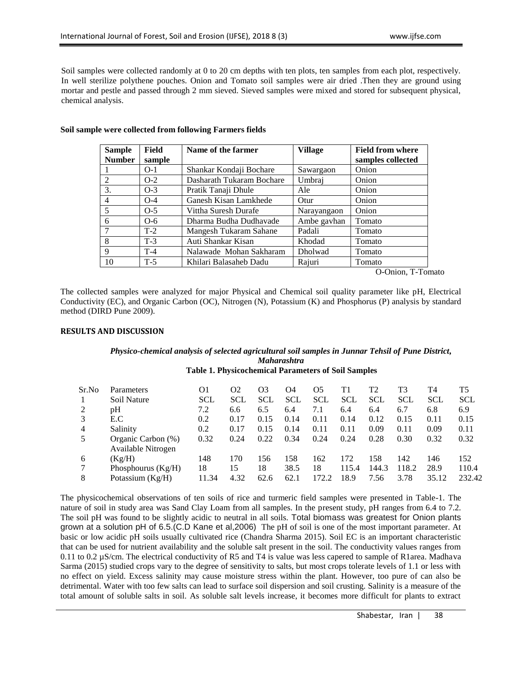Soil samples were collected randomly at 0 to 20 cm depths with ten plots, ten samples from each plot, respectively. In well sterilize polythene pouches. Onion and Tomato soil samples were air dried .Then they are ground using mortar and pestle and passed through 2 mm sieved. Sieved samples were mixed and stored for subsequent physical, chemical analysis.

| <b>Sample</b> | <b>Field</b> | Name of the farmer        | <b>Village</b> | <b>Field from where</b> |  |
|---------------|--------------|---------------------------|----------------|-------------------------|--|
| <b>Number</b> | sample       |                           |                | samples collected       |  |
|               | $O-1$        | Shankar Kondaji Bochare   | Sawargaon      | Onion                   |  |
| 2             | $O-2$        | Dasharath Tukaram Bochare | Umbraj         | Onion                   |  |
| 3.            | $O-3$        | Pratik Tanaji Dhule       | Ale            | Onion                   |  |
| 4             | $O-4$        | Ganesh Kisan Lamkhede     | Otur           | Onion                   |  |
| 5             | $O-5$        | Vittha Suresh Durafe      | Narayangaon    | Onion                   |  |
| 6             | $O-6$        | Dharma Budha Dudhavade    | Ambe gavhan    | Tomato                  |  |
| 7             | $T-2$        | Mangesh Tukaram Sahane    | Padali         | Tomato                  |  |
| 8             | $T-3$        | Auti Shankar Kisan        | Khodad         | Tomato                  |  |
| 9             | $T-4$        | Nalawade Mohan Sakharam   | Dholwad        | Tomato                  |  |
| 10            | $T-5$        | Khilari Balasaheb Dadu    | Rajuri         | Tomato                  |  |

## **Soil sample were collected from following Farmers fields**

O-Onion, T-Tomato

The collected samples were analyzed for major Physical and Chemical soil quality parameter like pH, Electrical Conductivity (EC), and Organic Carbon (OC), Nitrogen (N), Potassium (K) and Phosphorus (P) analysis by standard method (DIRD Pune 2009).

### **RESULTS AND DISCUSSION**

## *Physico-chemical analysis of selected agricultural soil samples in Junnar Tehsil of Pune District, Maharashtra*

# **Table 1. Physicochemical Parameters of Soil Samples**

| Sr.No | <b>Parameters</b><br>Soil Nature | O1<br><b>SCL</b> | O2<br><b>SCL</b> | O <sub>3</sub><br><b>SCL</b> | O4<br><b>SCL</b> | O5<br><b>SCL</b> | Τ1<br><b>SCL</b> | T2<br><b>SCL</b> | T3<br>SCL | T4<br><b>SCL</b> | T5<br><b>SCL</b> |
|-------|----------------------------------|------------------|------------------|------------------------------|------------------|------------------|------------------|------------------|-----------|------------------|------------------|
|       | pH                               | 7.2              | 6.6              | 6.5                          | 6.4              | 7.1              | 6.4              | 6.4              | 6.7       | 6.8              | 6.9              |
|       | E.C                              | 0.2              | 0.17             | 0.15                         | 0.14             | 0.11             | 0.14             | 0.12             | 0.15      | 0.11             | 0.15             |
| 4     | Salinity                         | 0.2              | 0.17             | 0.15                         | 0.14             | 0.11             | 0.11             | 0.09             | 0.11      | 0.09             | 0.11             |
| 5     | Organic Carbon (%)               | 0.32             | 0.24             | 0.22                         | 0.34             | 0.24             | 0.24             | 0.28             | 0.30      | 0.32             | 0.32             |
|       | Available Nitrogen               |                  |                  |                              |                  |                  |                  |                  |           |                  |                  |
| 6     | (Kg/H)                           | 148              | 170              | 156                          | 158              | 162              | 172              | 158              | 142       | 146              | 152              |
|       | Phosphourus $(Kg/H)$             | 18               | 15               | 18                           | 38.5             | 18               | 115.4            | 144.3            | 118.2     | 28.9             | 110.4            |
| 8     | Potassium $(Kg/H)$               | 11.34            | 4.32             | 62.6                         | 62.1             | 172.2            | 18.9             | 7.56             | 3.78      | 35.12            | 232.42           |

The physicochemical observations of ten soils of rice and turmeric field samples were presented in Table-1. The nature of soil in study area was Sand Clay Loam from all samples. In the present study, pH ranges from 6.4 to 7.2. The soil pH was found to be slightly acidic to neutral in all soils. Total biomass was greatest for Onion plants grown at a solution pH of 6.5.(C.D Kane et al,2006) The pH of soil is one of the most important parameter. At basic or low acidic pH soils usually cultivated rice (Chandra Sharma 2015). Soil EC is an important characteristic that can be used for nutrient availability and the soluble salt present in the soil. The conductivity values ranges from 0.11 to 0.2 µS/cm. The electrical conductivity of R5 and T4 is value was less capered to sample of R1area. Madhava Sarma (2015) studied crops vary to the degree of sensitivity to salts, but most crops tolerate levels of 1.1 or less with no effect on yield. Excess salinity may cause moisture stress within the plant. However, too pure of can also be detrimental. Water with too few salts can lead to surface soil dispersion and soil crusting. Salinity is a measure of the total amount of soluble salts in soil. As soluble salt levels increase, it becomes more difficult for plants to extract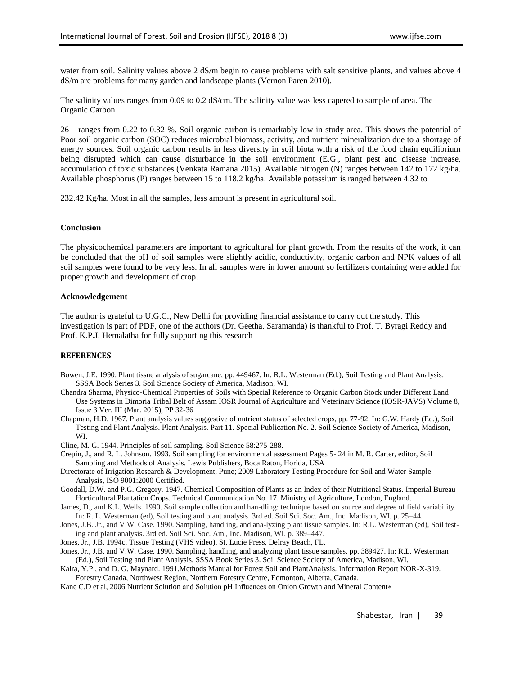water from soil. Salinity values above 2 dS/m begin to cause problems with salt sensitive plants, and values above 4 dS/m are problems for many garden and landscape plants (Vernon Paren 2010).

The salinity values ranges from 0.09 to 0.2 dS/cm. The salinity value was less capered to sample of area. The Organic Carbon

26 ranges from 0.22 to 0.32 %. Soil organic carbon is remarkably low in study area. This shows the potential of Poor soil organic carbon (SOC) reduces microbial biomass, activity, and nutrient mineralization due to a shortage of energy sources. Soil organic carbon results in less diversity in soil biota with a risk of the food chain equilibrium being disrupted which can cause disturbance in the soil environment (E.G., plant pest and disease increase, accumulation of toxic substances (Venkata Ramana 2015). Available nitrogen (N) ranges between 142 to 172 kg/ha. Available phosphorus (P) ranges between 15 to 118.2 kg/ha. Available potassium is ranged between 4.32 to

232.42 Kg/ha. Most in all the samples, less amount is present in agricultural soil.

### **Conclusion**

The physicochemical parameters are important to agricultural for plant growth. From the results of the work, it can be concluded that the pH of soil samples were slightly acidic, conductivity, organic carbon and NPK values of all soil samples were found to be very less. In all samples were in lower amount so fertilizers containing were added for proper growth and development of crop.

### **Acknowledgement**

The author is grateful to U.G.C., New Delhi for providing financial assistance to carry out the study. This investigation is part of PDF, one of the authors (Dr. Geetha. Saramanda) is thankful to Prof. T. Byragi Reddy and Prof. K.P.J. Hemalatha for fully supporting this research

#### **REFERENCES**

- Bowen, J.E. 1990. Plant tissue analysis of sugarcane, pp. 449467. In: R.L. Westerman (Ed.), Soil Testing and Plant Analysis. SSSA Book Series 3. Soil Science Society of America, Madison, WI.
- Chandra Sharma, Physico-Chemical Properties of Soils with Special Reference to Organic Carbon Stock under Different Land Use Systems in Dimoria Tribal Belt of Assam IOSR Journal of Agriculture and Veterinary Science (IOSR-JAVS) Volume 8, Issue 3 Ver. III (Mar. 2015), PP 32-36
- Chapman, H.D. 1967. Plant analysis values suggestive of nutrient status of selected crops, pp. 77-92. In: G.W. Hardy (Ed.), Soil Testing and Plant Analysis. Plant Analysis. Part 11. Special Publication No. 2. Soil Science Society of America, Madison, WI.
- Cline, M. G. 1944. Principles of soil sampling. Soil Science 58:275-288.
- Crepin, J., and R. L. Johnson. 1993. Soil sampling for environmental assessment Pages 5- 24 in M. R. Carter, editor, Soil Sampling and Methods of Analysis. Lewis Publishers, Boca Raton, Horida, USA
- Directorate of Irrigation Research & Development, Pune; 2009 Laboratory Testing Procedure for Soil and Water Sample Analysis, ISO 9001:2000 Certified.
- Goodall, D.W. and P.G. Gregory. 1947. Chemical Composition of Plants as an Index of their Nutritional Status. Imperial Bureau Horticultural Plantation Crops. Technical Communication No. 17. Ministry of Agriculture, London, England.
- James, D., and K.L. Wells. 1990. Soil sample collection and han-dling: technique based on source and degree of field variability. In: R. L. Westerman (ed), Soil testing and plant analysis. 3rd ed. Soil Sci. Soc. Am., Inc. Madison, WI. p. 25–44.
- Jones, J.B. Jr., and V.W. Case. 1990. Sampling, handling, and ana-lyzing plant tissue samples. In: R.L. Westerman (ed), Soil testing and plant analysis. 3rd ed. Soil Sci. Soc. Am., Inc. Madison, WI. p. 389–447.
- Jones, Jr., J.B. 1994c. Tissue Testing (VHS video). St. Lucie Press, Delray Beach, FL.
- Jones, Jr., J.B. and V.W. Case. 1990. Sampling, handling, and analyzing plant tissue samples, pp. 389427. In: R.L. Westerman (Ed.), Soil Testing and Plant Analysis. SSSA Book Series 3. Soil Science Society of America, Madison, WI.
- Kalra, Y.P., and D. G. Maynard. 1991.Methods Manual for Forest Soil and PlantAnalysis. Information Report NOR-X-319. Forestry Canada, Northwest Region, Northern Forestry Centre, Edmonton, Alberta, Canada.
- Kane C.D et al, 2006 Nutrient Solution and Solution pH Influences on Onion Growth and Mineral Content∗